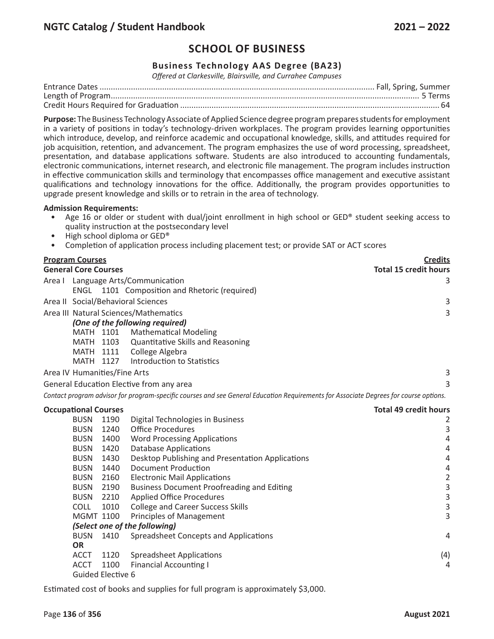## **Business Technology AAS Degree (BA23)**

*Offered at Clarkesville, Blairsville, and Currahee Campuses*

**Purpose:** The Business Technology Associate of Applied Science degree program prepares students for employment in a variety of positions in today's technology-driven workplaces. The program provides learning opportunities which introduce, develop, and reinforce academic and occupational knowledge, skills, and attitudes required for job acquisition, retention, and advancement. The program emphasizes the use of word processing, spreadsheet, presentation, and database applications software. Students are also introduced to accounting fundamentals, electronic communications, internet research, and electronic file management. The program includes instruction in effective communication skills and terminology that encompasses office management and executive assistant qualifications and technology innovations for the office. Additionally, the program provides opportunities to upgrade present knowledge and skills or to retrain in the area of technology.

#### **Admission Requirements:**

- Age 16 or older or student with dual/joint enrollment in high school or GED® student seeking access to quality instruction at the postsecondary level
- High school diploma or GED®
- Completion of application process including placement test; or provide SAT or ACT scores

| <b>Program Courses</b>       |           |                                                                                                                                       | <b>Credits</b>               |
|------------------------------|-----------|---------------------------------------------------------------------------------------------------------------------------------------|------------------------------|
| <b>General Core Courses</b>  |           |                                                                                                                                       | <b>Total 15 credit hours</b> |
|                              |           | Area I Language Arts/Communication                                                                                                    | 3                            |
|                              |           | ENGL 1101 Composition and Rhetoric (required)                                                                                         |                              |
|                              |           | Area II Social/Behavioral Sciences                                                                                                    | 3                            |
|                              |           | Area III Natural Sciences/Mathematics                                                                                                 | 3                            |
|                              |           | (One of the following required)                                                                                                       |                              |
|                              |           | MATH 1101 Mathematical Modeling                                                                                                       |                              |
|                              | MATH 1103 | Quantitative Skills and Reasoning                                                                                                     |                              |
| MATH 1111                    |           | College Algebra                                                                                                                       |                              |
| MATH 1127                    |           | Introduction to Statistics                                                                                                            |                              |
| Area IV Humanities/Fine Arts |           |                                                                                                                                       | $\mathsf 3$                  |
|                              |           | General Education Elective from any area                                                                                              | 3                            |
|                              |           | Contact program advisor for program-specific courses and see General Education Requirements for Associate Degrees for course options. |                              |
| <b>Occupational Courses</b>  |           |                                                                                                                                       | <b>Total 49 credit hours</b> |
| <b>BUSN</b>                  | 1190      | Digital Technologies in Business                                                                                                      | 2                            |
| <b>BUSN</b>                  | 1240      | <b>Office Procedures</b>                                                                                                              | $\mathsf 3$                  |
| <b>BUSN</b>                  | 1400      | <b>Word Processing Applications</b>                                                                                                   | $\overline{4}$               |
| <b>BUSN</b>                  | 1420      | <b>Database Applications</b>                                                                                                          | $\overline{4}$               |
| <b>BUSN</b>                  | 1430      | Desktop Publishing and Presentation Applications                                                                                      | $\overline{4}$               |
| <b>BUSN</b>                  | 1440      | Document Production                                                                                                                   | 4                            |
| <b>BUSN</b>                  | 2160      | <b>Electronic Mail Applications</b>                                                                                                   | $\overline{2}$               |
| <b>BUSN</b>                  | 2190      | <b>Business Document Proofreading and Editing</b>                                                                                     |                              |
| <b>BUSN</b>                  | 2210      | <b>Applied Office Procedures</b>                                                                                                      | $\frac{3}{3}$                |
|                              |           |                                                                                                                                       |                              |
|                              |           |                                                                                                                                       |                              |
| <b>COLL</b>                  | 1010      | <b>College and Career Success Skills</b>                                                                                              | $\overline{3}$<br>3          |
| <b>MGMT 1100</b>             |           | <b>Principles of Management</b>                                                                                                       |                              |
| <b>BUSN</b>                  | 1410      | (Select one of the following)<br>Spreadsheet Concepts and Applications                                                                | 4                            |

ACCT 1100 Financial Accounting I 4 Guided Elective 6

ACCT 1120 Spreadsheet Applications (4)

Estimated cost of books and supplies for full program is approximately \$3,000.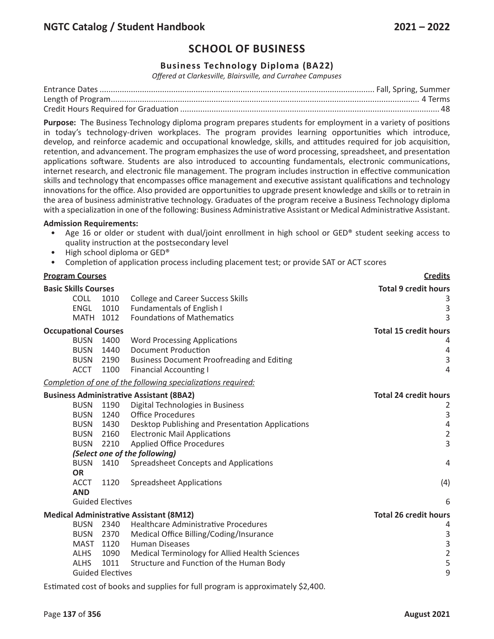### **Business Technology Diploma (BA22)**

*Offered at Clarkesville, Blairsville, and Currahee Campuses*

**Purpose:** The Business Technology diploma program prepares students for employment in a variety of positions in today's technology-driven workplaces. The program provides learning opportunities which introduce, develop, and reinforce academic and occupational knowledge, skills, and attitudes required for job acquisition, retention, and advancement. The program emphasizes the use of word processing, spreadsheet, and presentation applications software. Students are also introduced to accounting fundamentals, electronic communications, internet research, and electronic file management. The program includes instruction in effective communication skills and technology that encompasses office management and executive assistant qualifications and technology innovations for the office. Also provided are opportunities to upgrade present knowledge and skills or to retrain in the area of business administrative technology. Graduates of the program receive a Business Technology diploma with a specialization in one of the following: Business Administrative Assistant or Medical Administrative Assistant.

#### **Admission Requirements:**

- Age 16 or older or student with dual/joint enrollment in high school or GED® student seeking access to quality instruction at the postsecondary level
- High school diploma or GED®
- Completion of application process including placement test; or provide SAT or ACT scores

| <b>Program Courses</b>                                                                                             |                                                                                                                                                                                                                                                                                                                                                                                                                     | <b>Credits</b>                                                                                                 |
|--------------------------------------------------------------------------------------------------------------------|---------------------------------------------------------------------------------------------------------------------------------------------------------------------------------------------------------------------------------------------------------------------------------------------------------------------------------------------------------------------------------------------------------------------|----------------------------------------------------------------------------------------------------------------|
| <b>Basic Skills Courses</b>                                                                                        |                                                                                                                                                                                                                                                                                                                                                                                                                     | <b>Total 9 credit hours</b>                                                                                    |
| <b>COLL</b><br><b>ENGL</b><br>MATH 1012                                                                            | <b>College and Career Success Skills</b><br>1010<br>1010<br><b>Fundamentals of English I</b><br><b>Foundations of Mathematics</b>                                                                                                                                                                                                                                                                                   | 3<br>$\mathsf 3$<br>3                                                                                          |
| <b>Occupational Courses</b><br><b>BUSN</b><br><b>BUSN</b><br><b>BUSN</b><br><b>ACCT</b>                            | 1400<br><b>Word Processing Applications</b><br><b>Document Production</b><br>1440<br>2190<br><b>Business Document Proofreading and Editing</b><br>1100<br><b>Financial Accounting I</b>                                                                                                                                                                                                                             | <b>Total 15 credit hours</b><br>4<br>4<br>$\mathsf 3$<br>4                                                     |
|                                                                                                                    | Completion of one of the following specializations required:                                                                                                                                                                                                                                                                                                                                                        |                                                                                                                |
| <b>BUSN</b><br><b>BUSN</b><br><b>BUSN</b><br><b>BUSN</b><br><b>BUSN</b><br><b>BUSN</b><br><b>OR</b><br><b>ACCT</b> | <b>Business Administrative Assistant (8BA2)</b><br>1190<br>Digital Technologies in Business<br><b>Office Procedures</b><br>1240<br>Desktop Publishing and Presentation Applications<br>1430<br>2160<br><b>Electronic Mail Applications</b><br>2210<br><b>Applied Office Procedures</b><br>(Select one of the following)<br>Spreadsheet Concepts and Applications<br>1410<br>1120<br><b>Spreadsheet Applications</b> | <b>Total 24 credit hours</b><br>2<br>$\mathsf 3$<br>$\sqrt{4}$<br>$\overline{2}$<br>$\overline{3}$<br>4<br>(4) |
| <b>AND</b>                                                                                                         |                                                                                                                                                                                                                                                                                                                                                                                                                     |                                                                                                                |
| <b>Guided Electives</b>                                                                                            |                                                                                                                                                                                                                                                                                                                                                                                                                     | 6                                                                                                              |
| <b>BUSN</b><br><b>BUSN</b><br><b>MAST</b><br><b>ALHS</b><br><b>ALHS</b><br><b>Guided Electives</b>                 | <b>Medical Administrative Assistant (8M12)</b><br><b>Healthcare Administrative Procedures</b><br>2340<br>Medical Office Billing/Coding/Insurance<br>2370<br>1120<br><b>Human Diseases</b><br>1090<br>Medical Terminology for Allied Health Sciences<br>1011<br>Structure and Function of the Human Body                                                                                                             | <b>Total 26 credit hours</b><br>4<br>$\mathsf{3}$<br>3<br>$\frac{2}{5}$<br>9                                   |
|                                                                                                                    | Estimated cost of books and supplies for full program is approximately \$2,400.                                                                                                                                                                                                                                                                                                                                     |                                                                                                                |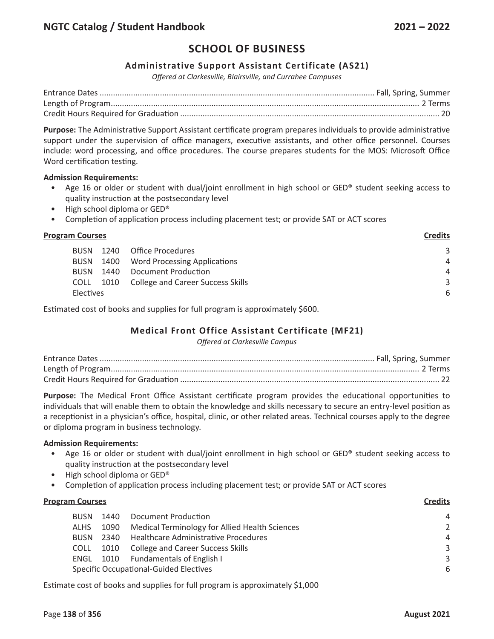### **Administrative Support Assistant Certificate (AS21)**

*Offered at Clarkesville, Blairsville, and Currahee Campuses*

**Purpose:** The Administrative Support Assistant certificate program prepares individuals to provide administrative support under the supervision of office managers, executive assistants, and other office personnel. Courses include: word processing, and office procedures. The course prepares students for the MOS: Microsoft Office Word certification testing.

#### **Admission Requirements:**

- Age 16 or older or student with dual/joint enrollment in high school or GED® student seeking access to quality instruction at the postsecondary level
- High school diploma or GED®
- Completion of application process including placement test; or provide SAT or ACT scores

#### **Program Courses**

| <b>BUSN</b> | 1240 Office Procedures                 | 3              |
|-------------|----------------------------------------|----------------|
| <b>BUSN</b> | 1400 Word Processing Applications      | $\overline{A}$ |
| <b>BUSN</b> | 1440 Document Production               | $\overline{A}$ |
| <b>COLL</b> | 1010 College and Career Success Skills | ₹              |
| Electives   |                                        | 6              |
|             |                                        |                |

Estimated cost of books and supplies for full program is approximately \$600.

## **Medical Front Office Assistant Certificate (MF21)**

*Offered at Clarkesville Campus*

**Purpose:** The Medical Front Office Assistant certificate program provides the educational opportunities to individuals that will enable them to obtain the knowledge and skills necessary to secure an entry-level position as a receptionist in a physician's office, hospital, clinic, or other related areas. Technical courses apply to the degree or diploma program in business technology.

#### **Admission Requirements:**

- Age 16 or older or student with dual/joint enrollment in high school or GED® student seeking access to quality instruction at the postsecondary level
- High school diploma or GED®
- Completion of application process including placement test; or provide SAT or ACT scores

## **Program Courses Credits** BUSN 1440 Document Production 4 ALHS 1090 Medical Terminology for Allied Health Sciences 2 BUSN 2340 Healthcare Administrative Procedures 4 COLL 1010 College and Career Success Skills 3 3 ENGL 1010 Fundamentals of English I 3 Specific Occupational-Guided Electives 6

Estimate cost of books and supplies for full program is approximately \$1,000